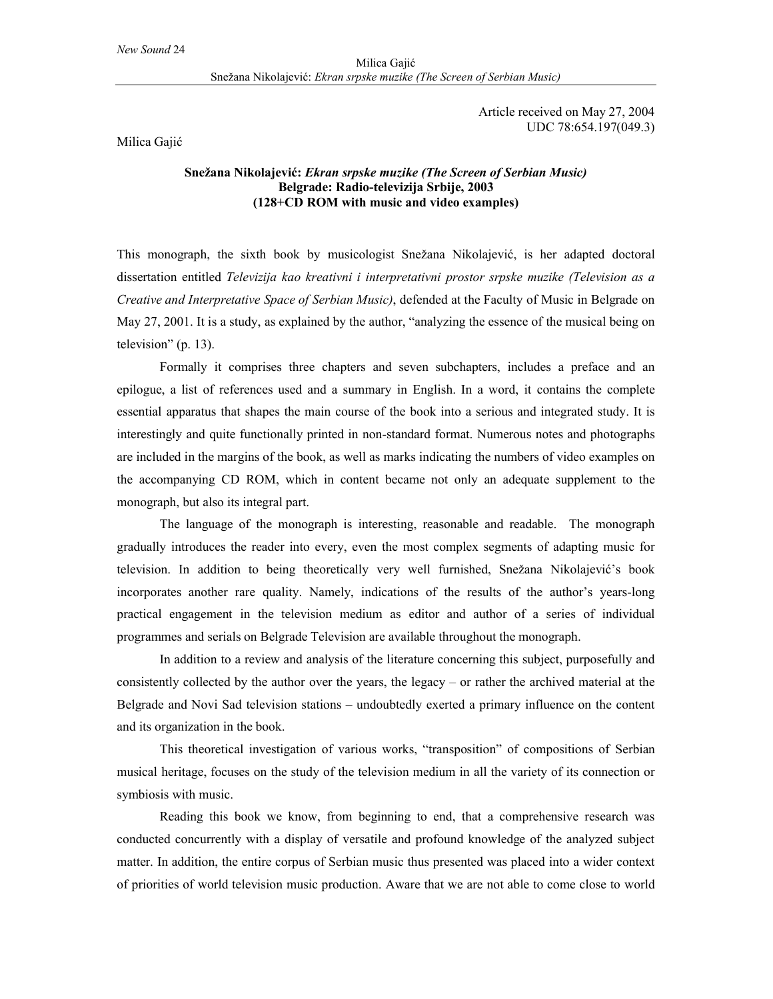Article received on May 27, 2004 UDC 78:654.197(049.3)

Milica Gajić

## **Snežana Nikolajević:** *Ekran srpske muzike (The Screen of Serbian Music)* **Belgrade: Radio-televizija Srbije, 2003 (128+CD ROM with music and video examples)**

This monograph, the sixth book by musicologist Snežana Nikolajević, is her adapted doctoral dissertation entitled *Televizija kao kreativni i interpretativni prostor srpske muzike (Television as a Creative and Interpretative Space of Serbian Music)*, defended at the Faculty of Music in Belgrade on May 27, 2001. It is a study, as explained by the author, "analyzing the essence of the musical being on television" (p. 13).

Formally it comprises three chapters and seven subchapters, includes a preface and an epilogue, a list of references used and a summary in English. In a word, it contains the complete essential apparatus that shapes the main course of the book into a serious and integrated study. It is interestingly and quite functionally printed in non-standard format. Numerous notes and photographs are included in the margins of the book, as well as marks indicating the numbers of video examples on the accompanying CD ROM, which in content became not only an adequate supplement to the monograph, but also its integral part.

The language of the monograph is interesting, reasonable and readable. The monograph gradually introduces the reader into every, even the most complex segments of adapting music for television. In addition to being theoretically very well furnished, Snežana Nikolajević's book incorporates another rare quality. Namely, indications of the results of the author's years-long practical engagement in the television medium as editor and author of a series of individual programmes and serials on Belgrade Television are available throughout the monograph.

In addition to a review and analysis of the literature concerning this subject, purposefully and consistently collected by the author over the years, the legacy – or rather the archived material at the Belgrade and Novi Sad television stations – undoubtedly exerted a primary influence on the content and its organization in the book.

This theoretical investigation of various works, "transposition" of compositions of Serbian musical heritage, focuses on the study of the television medium in all the variety of its connection or symbiosis with music.

Reading this book we know, from beginning to end, that a comprehensive research was conducted concurrently with a display of versatile and profound knowledge of the analyzed subject matter. In addition, the entire corpus of Serbian music thus presented was placed into a wider context of priorities of world television music production. Aware that we are not able to come close to world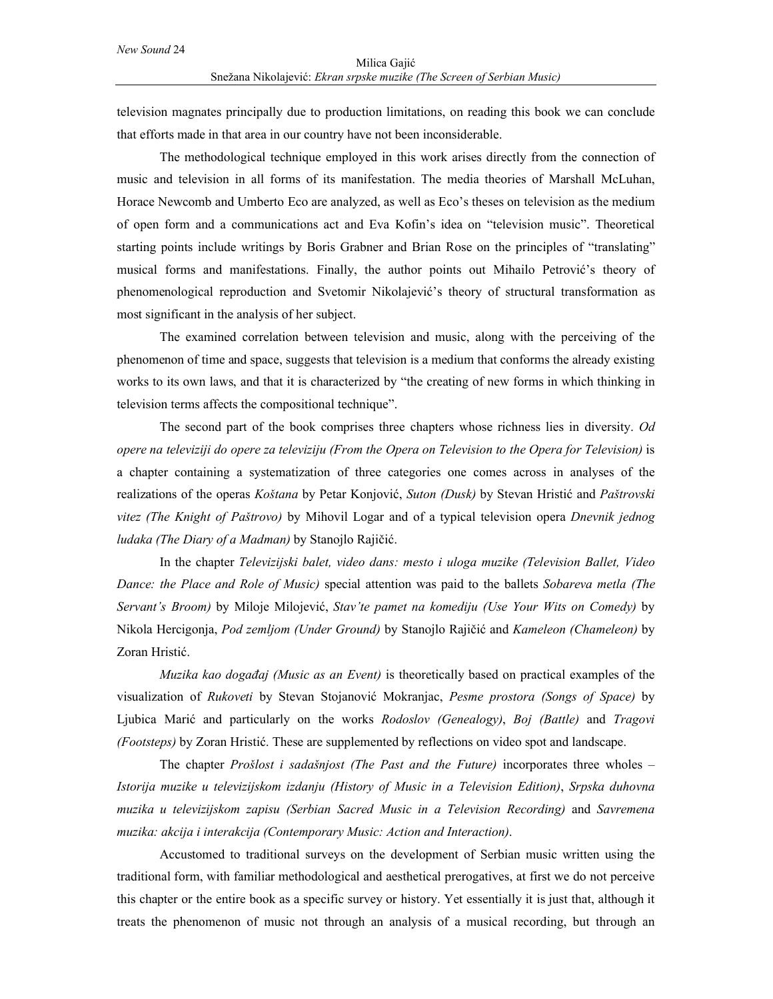television magnates principally due to production limitations, on reading this book we can conclude that efforts made in that area in our country have not been inconsiderable.

The methodological technique employed in this work arises directly from the connection of music and television in all forms of its manifestation. The media theories of Marshall McLuhan, Horace Newcomb and Umberto Eco are analyzed, as well as Eco's theses on television as the medium of open form and a communications act and Eva Kofin's idea on "television music". Theoretical starting points include writings by Boris Grabner and Brian Rose on the principles of "translating" musical forms and manifestations. Finally, the author points out Mihailo Petrović's theory of phenomenological reproduction and Svetomir Nikolajević's theory of structural transformation as most significant in the analysis of her subject.

The examined correlation between television and music, along with the perceiving of the phenomenon of time and space, suggests that television is a medium that conforms the already existing works to its own laws, and that it is characterized by "the creating of new forms in which thinking in television terms affects the compositional technique".

The second part of the book comprises three chapters whose richness lies in diversity. *Od opere na televiziji do opere za televiziju (From the Opera on Television to the Opera for Television)* is a chapter containing a systematization of three categories one comes across in analyses of the realizations of the operas *Koštana* by Petar Konjović, *Suton (Dusk)* by Stevan Hristić and *Paštrovski vitez (The Knight of Paštrovo)* by Mihovil Logar and of a typical television opera *Dnevnik jednog ludaka (The Diary of a Madman)* by Stanojlo Rajičić.

In the chapter *Televizijski balet, video dans: mesto i uloga muzike (Television Ballet, Video Dance: the Place and Role of Music)* special attention was paid to the ballets *Sobareva metla (The Servant's Broom)* by Miloje Milojević, *Stav'te pamet na komediju (Use Your Wits on Comedy)* by Nikola Hercigonja, *Pod zemljom (Under Ground)* by Stanojlo Rajičić and *Kameleon (Chameleon)* by Zoran Hristić.

*Muzika kao događaj (Music as an Event)* is theoretically based on practical examples of the visualization of *Rukoveti* by Stevan Stojanović Mokranjac, *Pesme prostora (Songs of Space)* by Ljubica Marić and particularly on the works *Rodoslov (Genealogy)*, *Boj (Battle)* and *Tragovi (Footsteps)* by Zoran Hristić. These are supplemented by reflections on video spot and landscape.

The chapter *Prošlost i sadašnjost (The Past and the Future)* incorporates three wholes – *Istorija muzike u televizijskom izdanju (History of Music in a Television Edition)*, *Srpska duhovna muzika u televizijskom zapisu (Serbian Sacred Music in a Television Recording)* and *Savremena muzika: akcija i interakcija (Contemporary Music: Action and Interaction)*.

Accustomed to traditional surveys on the development of Serbian music written using the traditional form, with familiar methodological and aesthetical prerogatives, at first we do not perceive this chapter or the entire book as a specific survey or history. Yet essentially it is just that, although it treats the phenomenon of music not through an analysis of a musical recording, but through an